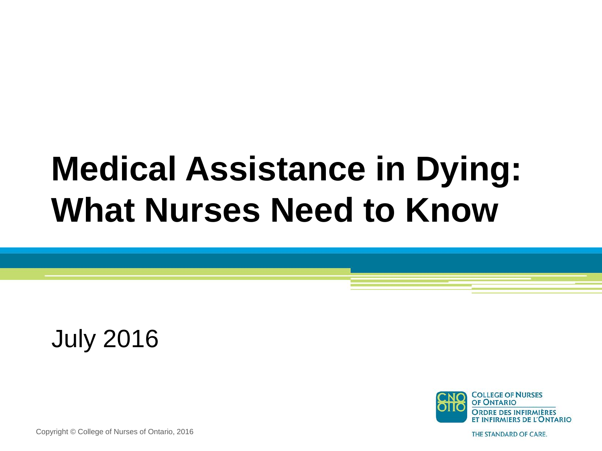# **Medical Assistance in Dying: What Nurses Need to Know**

July 2016



Copyright © College of Nurses of Ontario, 2016

THE STANDARD OF CARE.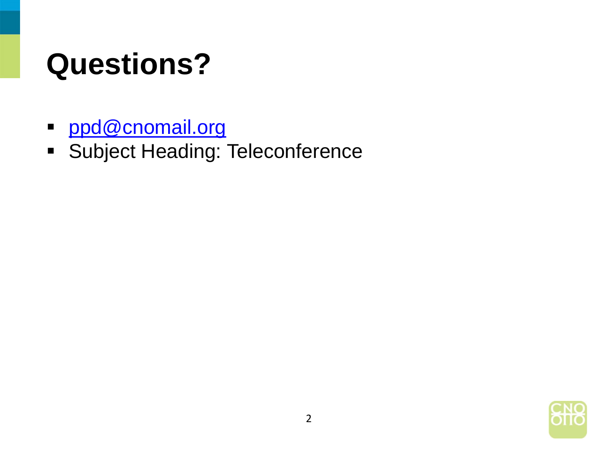### **Questions?**

- [ppd@cnomail.org](mailto:ppd@cnomail.org)
- **Subject Heading: Teleconference**

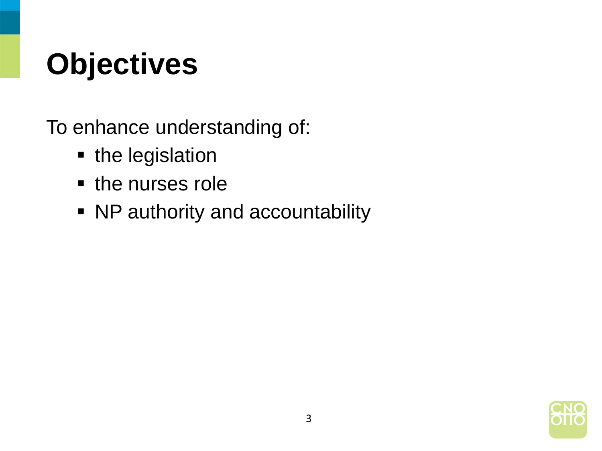## **Objectives**

To enhance understanding of:

- the legislation
- the nurses role
- NP authority and accountability

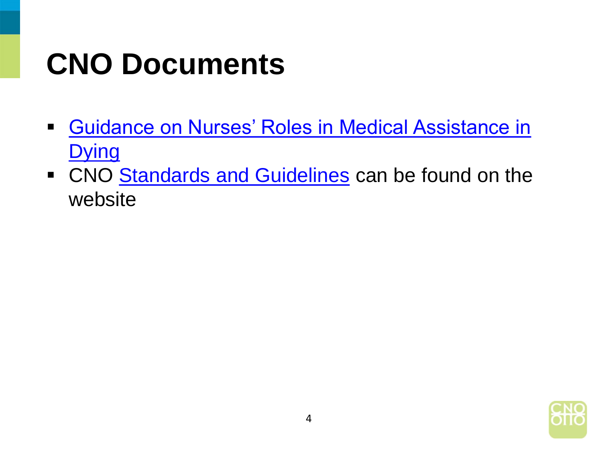### **CNO Documents**

- **[Guidance on Nurses' Roles in Medical Assistance in](http://www.cno.org/globalassets/4-learnaboutstandardsandguidelines/maid/maid-june-23-final.pdf) Dying**
- CNO [Standards and Guidelines](http://www.cno.org/en/learn-about-standards-guidelines/standards-and-guidelines/) can be found on the website

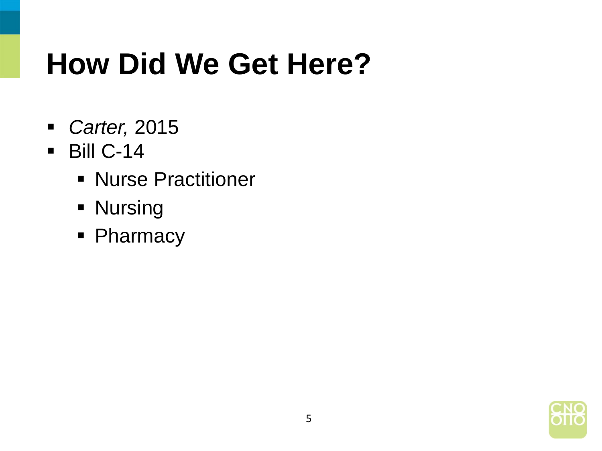#### **How Did We Get Here?**

- *Carter,* 2015
- $-Bill C-14$ 
	- **Nurse Practitioner**
	- **Nursing**
	- Pharmacy

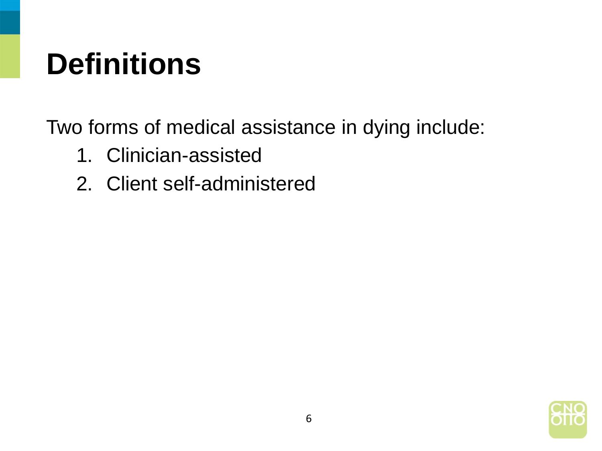### **Definitions**

Two forms of medical assistance in dying include:

- 1. Clinician-assisted
- 2. Client self-administered

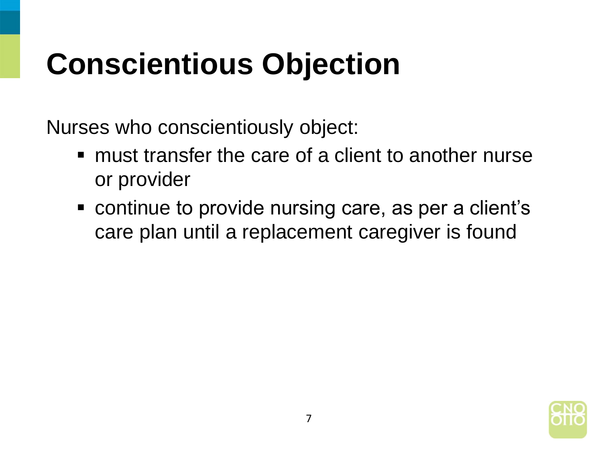## **Conscientious Objection**

Nurses who conscientiously object:

- must transfer the care of a client to another nurse or provider
- continue to provide nursing care, as per a client's care plan until a replacement caregiver is found

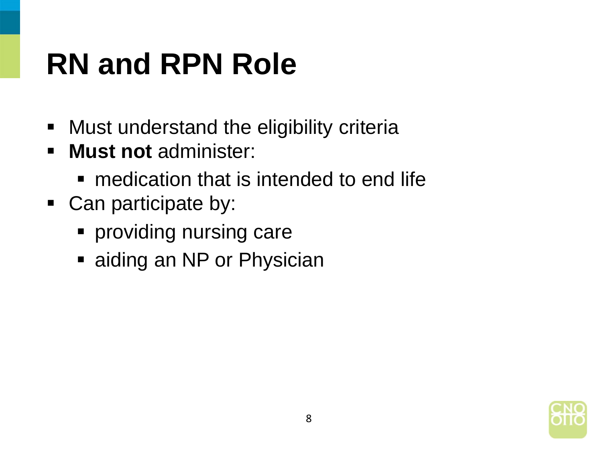## **RN and RPN Role**

- **Must understand the eligibility criteria**
- **Must not** administer:
	- **nedication that is intended to end life**
- Can participate by:
	- **Peroviding nursing care**
	- aiding an NP or Physician

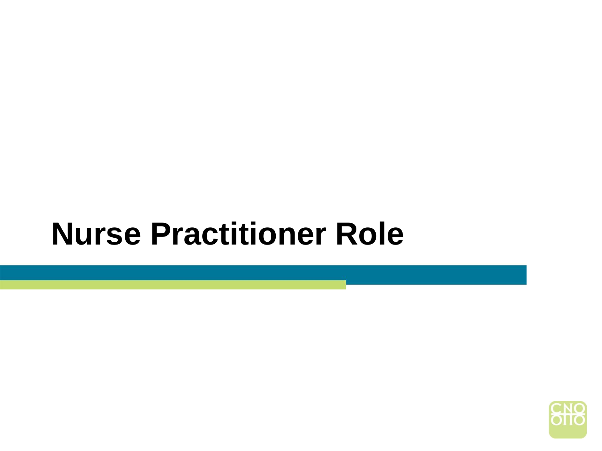#### **Nurse Practitioner Role**

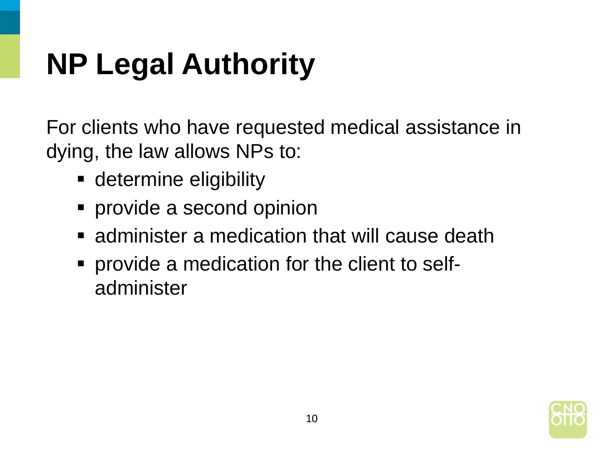# **NP Legal Authority**

For clients who have requested medical assistance in dying, the law allows NPs to:

- **-** determine eligibility
- **provide a second opinion**
- **E** administer a medication that will cause death
- provide a medication for the client to selfadminister

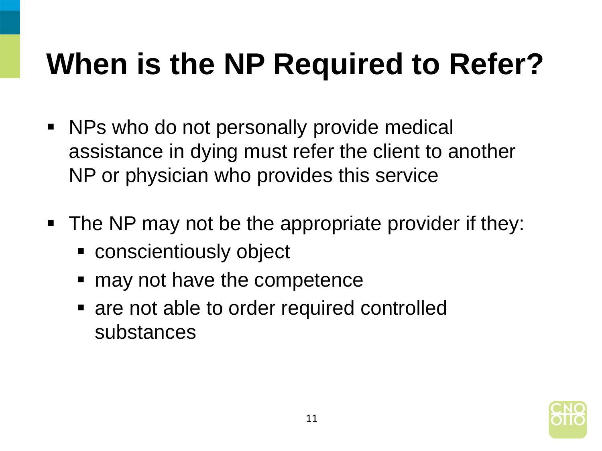## **When is the NP Required to Refer?**

- NPs who do not personally provide medical assistance in dying must refer the client to another NP or physician who provides this service
- The NP may not be the appropriate provider if they:
	- conscientiously object
	- may not have the competence
	- are not able to order required controlled substances

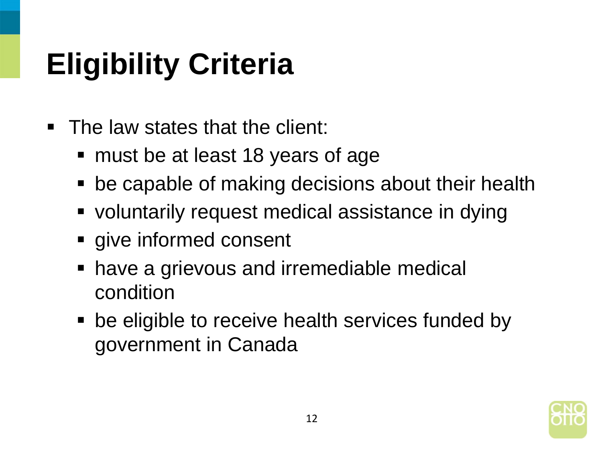# **Eligibility Criteria**

- The law states that the client:
	- must be at least 18 years of age
	- be capable of making decisions about their health
	- voluntarily request medical assistance in dying
	- **give informed consent**
	- have a grievous and irremediable medical condition
	- be eligible to receive health services funded by government in Canada

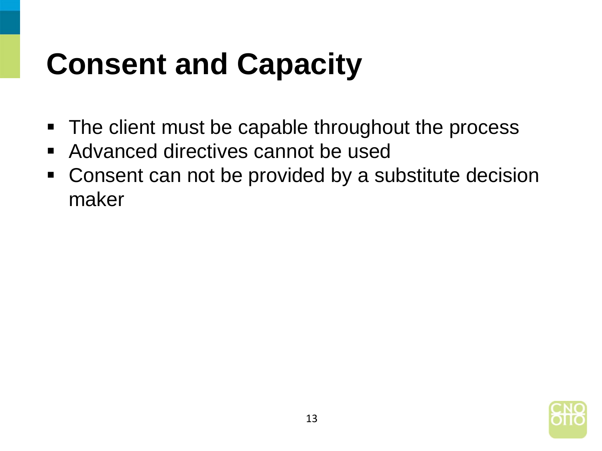## **Consent and Capacity**

- The client must be capable throughout the process
- Advanced directives cannot be used
- Consent can not be provided by a substitute decision maker

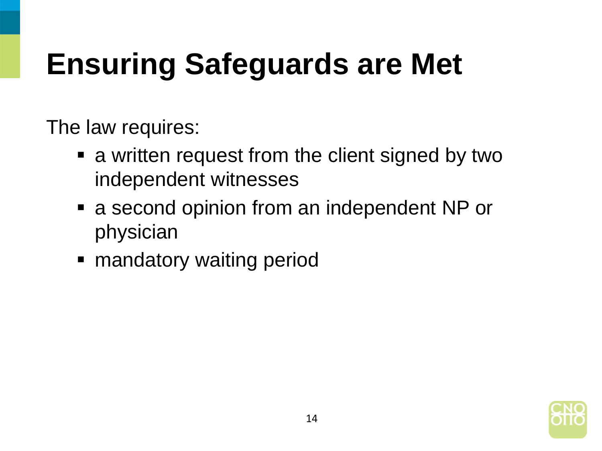## **Ensuring Safeguards are Met**

The law requires:

- a written request from the client signed by two independent witnesses
- a second opinion from an independent NP or physician
- **nandatory waiting period**

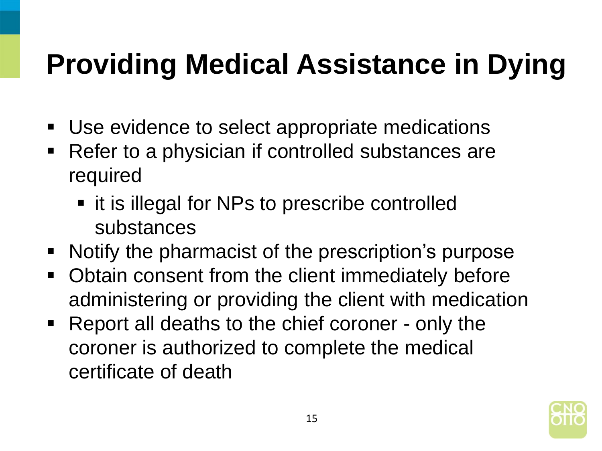#### **Providing Medical Assistance in Dying**

- Use evidence to select appropriate medications
- Refer to a physician if controlled substances are required
	- it is illegal for NPs to prescribe controlled substances
- Notify the pharmacist of the prescription's purpose
- Obtain consent from the client immediately before administering or providing the client with medication
- Report all deaths to the chief coroner only the coroner is authorized to complete the medical certificate of death

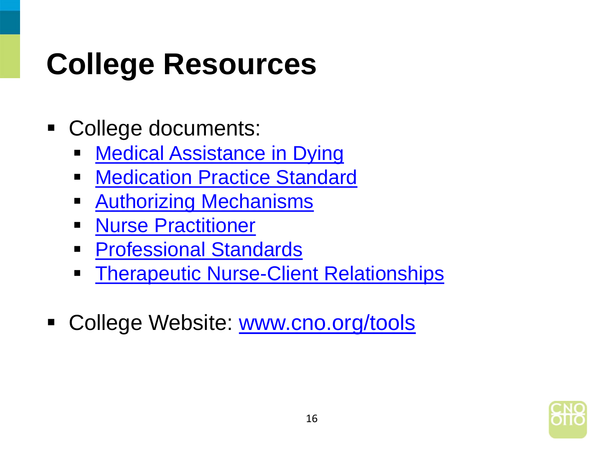## **College Resources**

- College documents:
	- **[Medical Assistance in Dying](http://www.cno.org/globalassets/4-learnaboutstandardsandguidelines/maid/maid-june-23-final.pdf)**
	- **Nedication Practice Standard**
	- **[Authorizing Mechanisms](http://www.cno.org/Global/docs/prac/41075_AuthorizingMech.pdf)**
	- **[Nurse Practitioner](http://www.cno.org/Global/docs/prac/41038_StrdRnec.pdf)**
	- **[Professional Standards](http://www.cno.org/Global/docs/prac/41006_ProfStds.pdf)**
	- **[Therapeutic Nurse-Client Relationships](http://www.cno.org/Global/docs/prac/41033_Therapeutic.pdf)**
- College Website: [www.cno.org/tools](http://www.cno.org/tools)

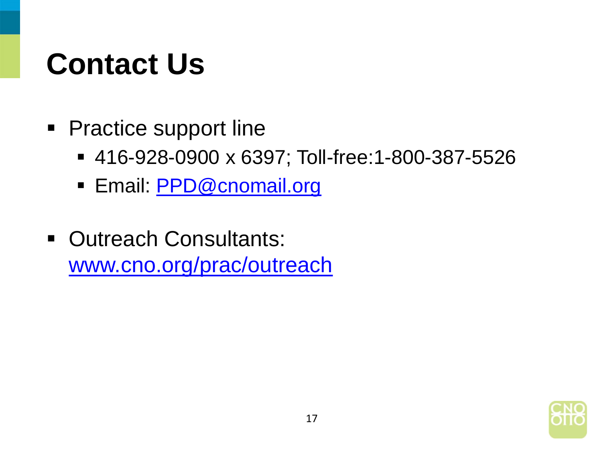#### **Contact Us**

- Practice support line
	- 416-928-0900 x 6397; Toll-free:1-800-387-5526
	- **Email: [PPD@cnomail.org](mailto:PPD@cnomail.org)**
- **Outreach Consultants:** [www.cno.org/prac/outreach](http://www.cno.org/prac/outreach)

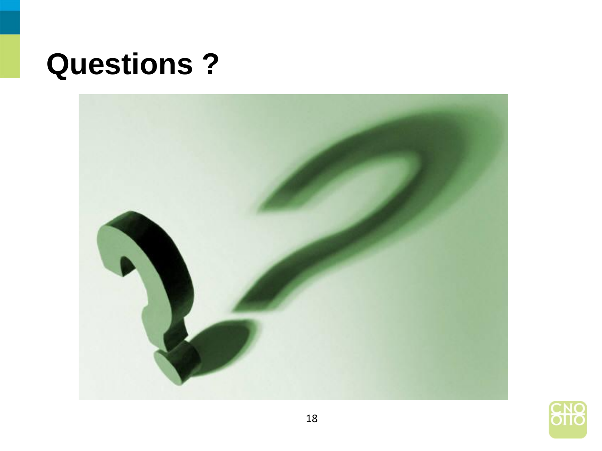#### **Questions ?**